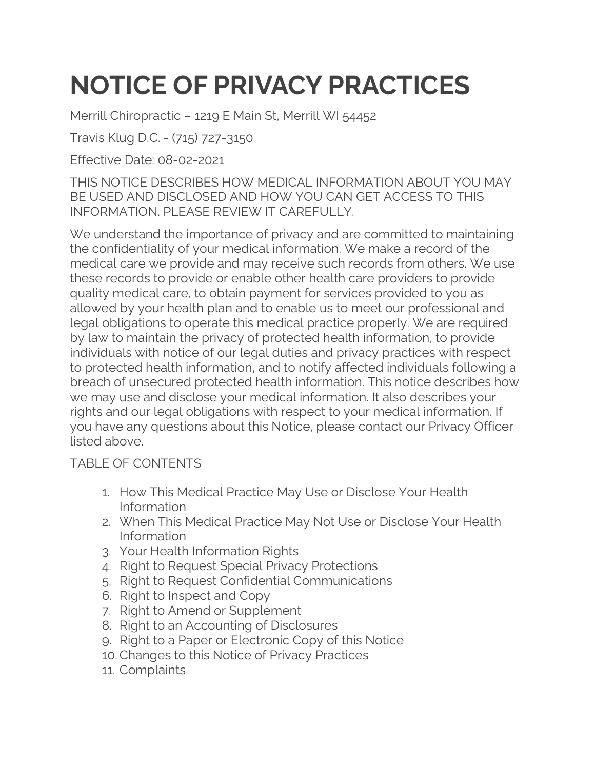## **NOTICE OF PRIVACY PRACTICES**

Merrill Chiropractic – 1219 E Main St, Merrill WI 54452

Travis Klug D.C. - (715) 727-3150

Effective Date: 08-02-2021

THIS NOTICE DESCRIBES HOW MEDICAL INFORMATION ABOUT YOU MAY BE USED AND DISCLOSED AND HOW YOU CAN GET ACCESS TO THIS INFORMATION. PLEASE REVIEW IT CAREFULLY.

We understand the importance of privacy and are committed to maintaining the confidentiality of your medical information. We make a record of the medical care we provide and may receive such records from others. We use these records to provide or enable other health care providers to provide quality medical care, to obtain payment for services provided to you as allowed by your health plan and to enable us to meet our professional and legal obligations to operate this medical practice properly. We are required by law to maintain the privacy of protected health information, to provide individuals with notice of our legal duties and privacy practices with respect to protected health information, and to notify affected individuals following a breach of unsecured protected health information. This notice describes how we may use and disclose your medical information. It also describes your rights and our legal obligations with respect to your medical information. If you have any questions about this Notice, please contact our Privacy Officer listed above.

## TABLE OF CONTENTS

- 1. How This Medical Practice May Use or Disclose Your Health Information
- 2. When This Medical Practice May Not Use or Disclose Your Health Information
- 3. Your Health Information Rights
- 4. Right to Request Special Privacy Protections
- 5. Right to Request Confidential Communications
- 6. Right to Inspect and Copy
- 7. Right to Amend or Supplement
- 8. Right to an Accounting of Disclosures
- 9. Right to a Paper or Electronic Copy of this Notice
- 10.Changes to this Notice of Privacy Practices
- 11. Complaints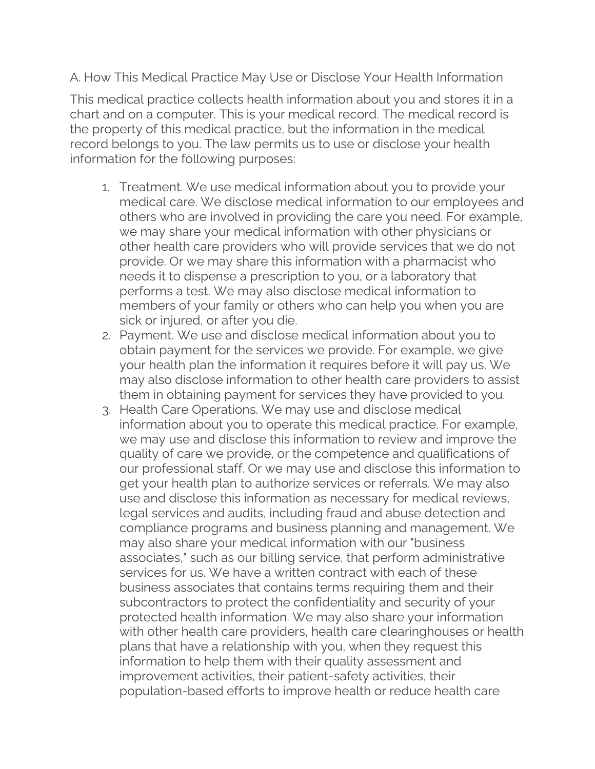A. How This Medical Practice May Use or Disclose Your Health Information

This medical practice collects health information about you and stores it in a chart and on a computer. This is your medical record. The medical record is the property of this medical practice, but the information in the medical record belongs to you. The law permits us to use or disclose your health information for the following purposes:

- 1. Treatment. We use medical information about you to provide your medical care. We disclose medical information to our employees and others who are involved in providing the care you need. For example, we may share your medical information with other physicians or other health care providers who will provide services that we do not provide. Or we may share this information with a pharmacist who needs it to dispense a prescription to you, or a laboratory that performs a test. We may also disclose medical information to members of your family or others who can help you when you are sick or injured, or after you die.
- 2. Payment. We use and disclose medical information about you to obtain payment for the services we provide. For example, we give your health plan the information it requires before it will pay us. We may also disclose information to other health care providers to assist them in obtaining payment for services they have provided to you.
- 3. Health Care Operations. We may use and disclose medical information about you to operate this medical practice. For example, we may use and disclose this information to review and improve the quality of care we provide, or the competence and qualifications of our professional staff. Or we may use and disclose this information to get your health plan to authorize services or referrals. We may also use and disclose this information as necessary for medical reviews, legal services and audits, including fraud and abuse detection and compliance programs and business planning and management. We may also share your medical information with our "business associates," such as our billing service, that perform administrative services for us. We have a written contract with each of these business associates that contains terms requiring them and their subcontractors to protect the confidentiality and security of your protected health information. We may also share your information with other health care providers, health care clearinghouses or health plans that have a relationship with you, when they request this information to help them with their quality assessment and improvement activities, their patient-safety activities, their population-based efforts to improve health or reduce health care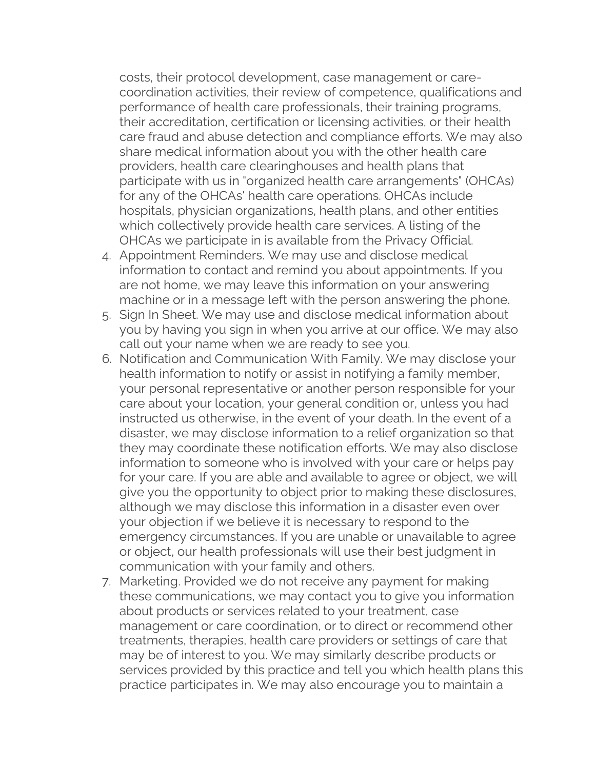costs, their protocol development, case management or carecoordination activities, their review of competence, qualifications and performance of health care professionals, their training programs, their accreditation, certification or licensing activities, or their health care fraud and abuse detection and compliance efforts. We may also share medical information about you with the other health care providers, health care clearinghouses and health plans that participate with us in "organized health care arrangements" (OHCAs) for any of the OHCAs' health care operations. OHCAs include hospitals, physician organizations, health plans, and other entities which collectively provide health care services. A listing of the OHCAs we participate in is available from the Privacy Official.

- 4. Appointment Reminders. We may use and disclose medical information to contact and remind you about appointments. If you are not home, we may leave this information on your answering machine or in a message left with the person answering the phone.
- 5. Sign In Sheet. We may use and disclose medical information about you by having you sign in when you arrive at our office. We may also call out your name when we are ready to see you.
- 6. Notification and Communication With Family. We may disclose your health information to notify or assist in notifying a family member, your personal representative or another person responsible for your care about your location, your general condition or, unless you had instructed us otherwise, in the event of your death. In the event of a disaster, we may disclose information to a relief organization so that they may coordinate these notification efforts. We may also disclose information to someone who is involved with your care or helps pay for your care. If you are able and available to agree or object, we will give you the opportunity to object prior to making these disclosures, although we may disclose this information in a disaster even over your objection if we believe it is necessary to respond to the emergency circumstances. If you are unable or unavailable to agree or object, our health professionals will use their best judgment in communication with your family and others.
- 7. Marketing. Provided we do not receive any payment for making these communications, we may contact you to give you information about products or services related to your treatment, case management or care coordination, or to direct or recommend other treatments, therapies, health care providers or settings of care that may be of interest to you. We may similarly describe products or services provided by this practice and tell you which health plans this practice participates in. We may also encourage you to maintain a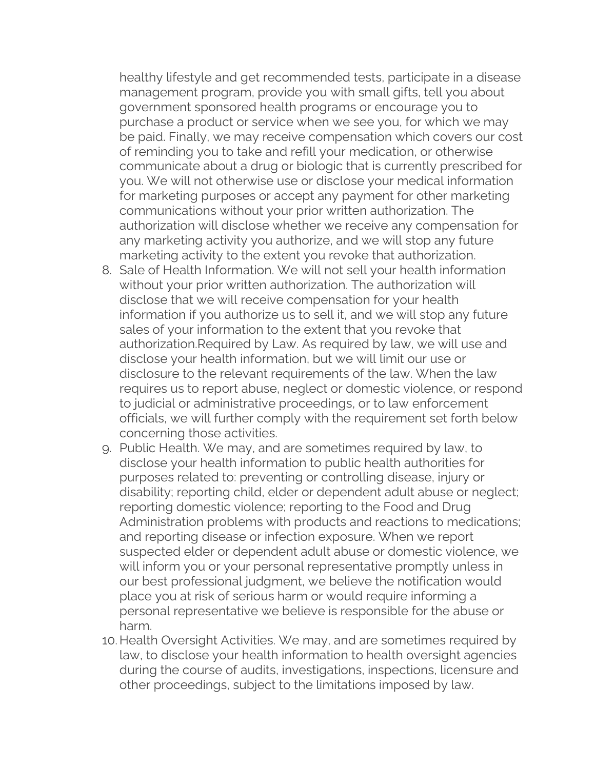healthy lifestyle and get recommended tests, participate in a disease management program, provide you with small gifts, tell you about government sponsored health programs or encourage you to purchase a product or service when we see you, for which we may be paid. Finally, we may receive compensation which covers our cost of reminding you to take and refill your medication, or otherwise communicate about a drug or biologic that is currently prescribed for you. We will not otherwise use or disclose your medical information for marketing purposes or accept any payment for other marketing communications without your prior written authorization. The authorization will disclose whether we receive any compensation for any marketing activity you authorize, and we will stop any future marketing activity to the extent you revoke that authorization.

- 8. Sale of Health Information. We will not sell your health information without your prior written authorization. The authorization will disclose that we will receive compensation for your health information if you authorize us to sell it, and we will stop any future sales of your information to the extent that you revoke that authorization.Required by Law. As required by law, we will use and disclose your health information, but we will limit our use or disclosure to the relevant requirements of the law. When the law requires us to report abuse, neglect or domestic violence, or respond to judicial or administrative proceedings, or to law enforcement officials, we will further comply with the requirement set forth below concerning those activities.
- 9. Public Health. We may, and are sometimes required by law, to disclose your health information to public health authorities for purposes related to: preventing or controlling disease, injury or disability; reporting child, elder or dependent adult abuse or neglect; reporting domestic violence; reporting to the Food and Drug Administration problems with products and reactions to medications; and reporting disease or infection exposure. When we report suspected elder or dependent adult abuse or domestic violence, we will inform you or your personal representative promptly unless in our best professional judgment, we believe the notification would place you at risk of serious harm or would require informing a personal representative we believe is responsible for the abuse or harm.
- 10. Health Oversight Activities. We may, and are sometimes required by law, to disclose your health information to health oversight agencies during the course of audits, investigations, inspections, licensure and other proceedings, subject to the limitations imposed by law.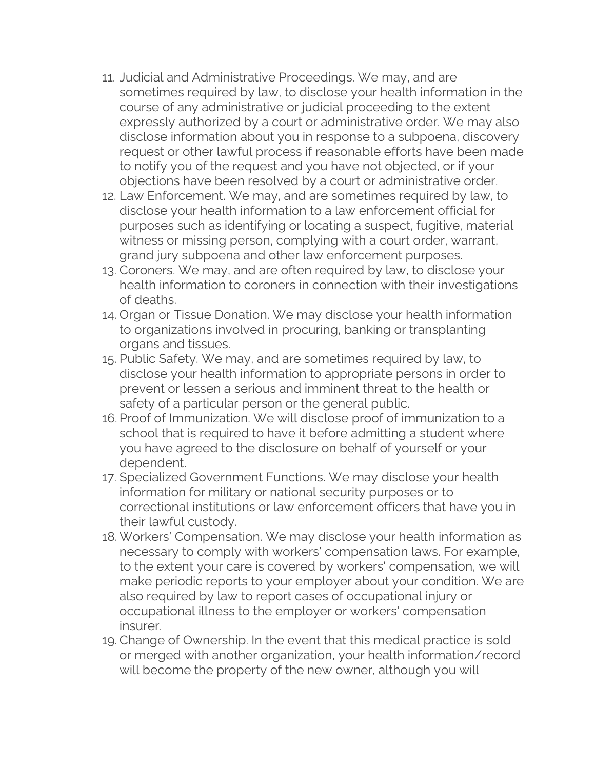- 11. Judicial and Administrative Proceedings. We may, and are sometimes required by law, to disclose your health information in the course of any administrative or judicial proceeding to the extent expressly authorized by a court or administrative order. We may also disclose information about you in response to a subpoena, discovery request or other lawful process if reasonable efforts have been made to notify you of the request and you have not objected, or if your objections have been resolved by a court or administrative order.
- 12. Law Enforcement. We may, and are sometimes required by law, to disclose your health information to a law enforcement official for purposes such as identifying or locating a suspect, fugitive, material witness or missing person, complying with a court order, warrant, grand jury subpoena and other law enforcement purposes.
- 13. Coroners. We may, and are often required by law, to disclose your health information to coroners in connection with their investigations of deaths.
- 14. Organ or Tissue Donation. We may disclose your health information to organizations involved in procuring, banking or transplanting organs and tissues.
- 15. Public Safety. We may, and are sometimes required by law, to disclose your health information to appropriate persons in order to prevent or lessen a serious and imminent threat to the health or safety of a particular person or the general public.
- 16. Proof of Immunization. We will disclose proof of immunization to a school that is required to have it before admitting a student where you have agreed to the disclosure on behalf of yourself or your dependent.
- 17. Specialized Government Functions. We may disclose your health information for military or national security purposes or to correctional institutions or law enforcement officers that have you in their lawful custody.
- 18. Workers' Compensation. We may disclose your health information as necessary to comply with workers' compensation laws. For example, to the extent your care is covered by workers' compensation, we will make periodic reports to your employer about your condition. We are also required by law to report cases of occupational injury or occupational illness to the employer or workers' compensation insurer.
- 19. Change of Ownership. In the event that this medical practice is sold or merged with another organization, your health information/record will become the property of the new owner, although you will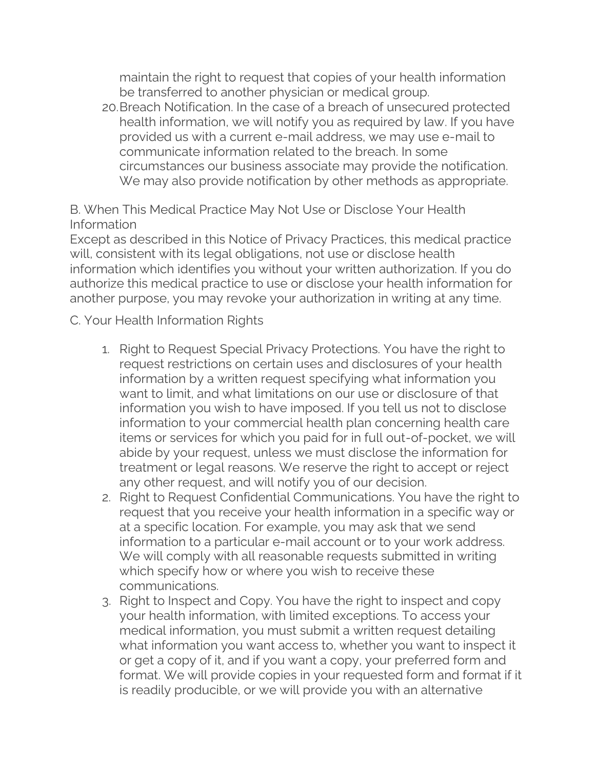maintain the right to request that copies of your health information be transferred to another physician or medical group.

20.Breach Notification. In the case of a breach of unsecured protected health information, we will notify you as required by law. If you have provided us with a current e-mail address, we may use e-mail to communicate information related to the breach. In some circumstances our business associate may provide the notification. We may also provide notification by other methods as appropriate.

B. When This Medical Practice May Not Use or Disclose Your Health Information

Except as described in this Notice of Privacy Practices, this medical practice will, consistent with its legal obligations, not use or disclose health information which identifies you without your written authorization. If you do authorize this medical practice to use or disclose your health information for another purpose, you may revoke your authorization in writing at any time.

C. Your Health Information Rights

- 1. Right to Request Special Privacy Protections. You have the right to request restrictions on certain uses and disclosures of your health information by a written request specifying what information you want to limit, and what limitations on our use or disclosure of that information you wish to have imposed. If you tell us not to disclose information to your commercial health plan concerning health care items or services for which you paid for in full out-of-pocket, we will abide by your request, unless we must disclose the information for treatment or legal reasons. We reserve the right to accept or reject any other request, and will notify you of our decision.
- 2. Right to Request Confidential Communications. You have the right to request that you receive your health information in a specific way or at a specific location. For example, you may ask that we send information to a particular e-mail account or to your work address. We will comply with all reasonable requests submitted in writing which specify how or where you wish to receive these communications.
- 3. Right to Inspect and Copy. You have the right to inspect and copy your health information, with limited exceptions. To access your medical information, you must submit a written request detailing what information you want access to, whether you want to inspect it or get a copy of it, and if you want a copy, your preferred form and format. We will provide copies in your requested form and format if it is readily producible, or we will provide you with an alternative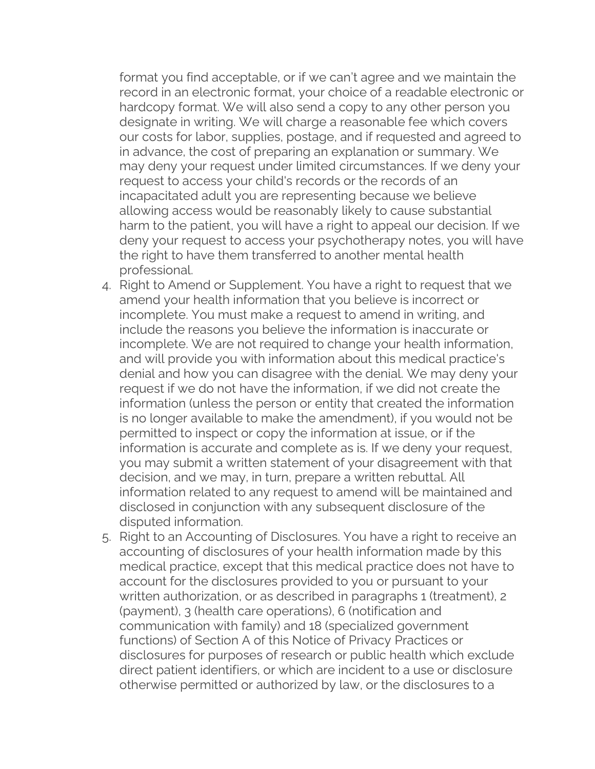format you find acceptable, or if we can't agree and we maintain the record in an electronic format, your choice of a readable electronic or hardcopy format. We will also send a copy to any other person you designate in writing. We will charge a reasonable fee which covers our costs for labor, supplies, postage, and if requested and agreed to in advance, the cost of preparing an explanation or summary. We may deny your request under limited circumstances. If we deny your request to access your child's records or the records of an incapacitated adult you are representing because we believe allowing access would be reasonably likely to cause substantial harm to the patient, you will have a right to appeal our decision. If we deny your request to access your psychotherapy notes, you will have the right to have them transferred to another mental health professional.

- 4. Right to Amend or Supplement. You have a right to request that we amend your health information that you believe is incorrect or incomplete. You must make a request to amend in writing, and include the reasons you believe the information is inaccurate or incomplete. We are not required to change your health information, and will provide you with information about this medical practice's denial and how you can disagree with the denial. We may deny your request if we do not have the information, if we did not create the information (unless the person or entity that created the information is no longer available to make the amendment), if you would not be permitted to inspect or copy the information at issue, or if the information is accurate and complete as is. If we deny your request, you may submit a written statement of your disagreement with that decision, and we may, in turn, prepare a written rebuttal. All information related to any request to amend will be maintained and disclosed in conjunction with any subsequent disclosure of the disputed information.
- 5. Right to an Accounting of Disclosures. You have a right to receive an accounting of disclosures of your health information made by this medical practice, except that this medical practice does not have to account for the disclosures provided to you or pursuant to your written authorization, or as described in paragraphs 1 (treatment), 2 (payment), 3 (health care operations), 6 (notification and communication with family) and 18 (specialized government functions) of Section A of this Notice of Privacy Practices or disclosures for purposes of research or public health which exclude direct patient identifiers, or which are incident to a use or disclosure otherwise permitted or authorized by law, or the disclosures to a